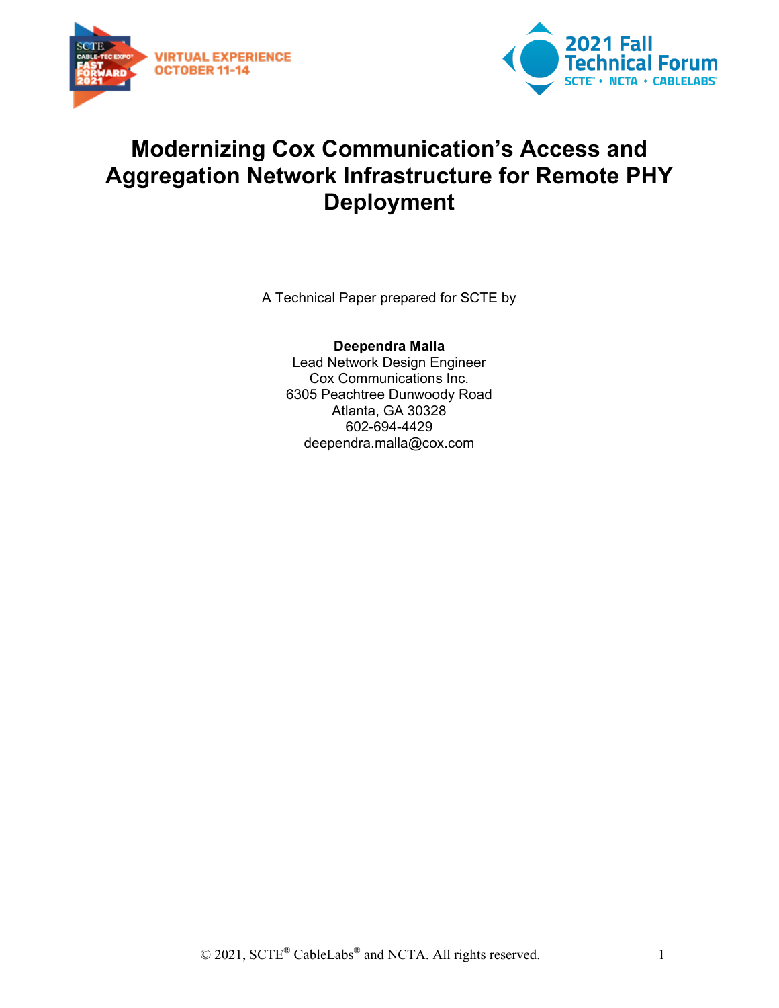



## **Modernizing Cox Communication's Access and Aggregation Network Infrastructure for Remote PHY Deployment**

A Technical Paper prepared for SCTE by

**Deependra Malla** Lead Network Design Engineer Cox Communications Inc. 6305 Peachtree Dunwoody Road Atlanta, GA 30328 602-694-4429 deependra.malla@cox.com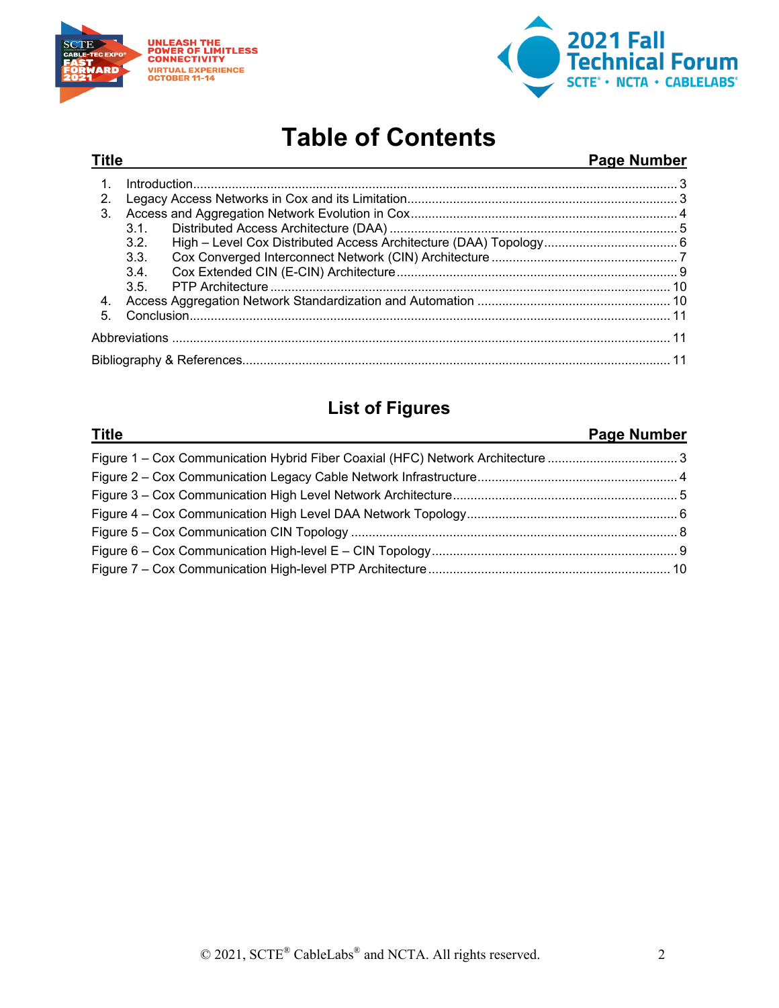



# **Table of Contents**

## **Title Page Number**

|    | Introduction 3 |  |
|----|----------------|--|
| 2. |                |  |
| 3. |                |  |
|    | 3.1.           |  |
|    | 3.2.           |  |
|    | 3.3.           |  |
|    | 3.4.           |  |
|    | 3.5.           |  |
| 4. |                |  |
| 5. |                |  |
|    |                |  |
|    |                |  |

## **List of Figures**

#### **Title Page Number**

| Figure 1 – Cox Communication Hybrid Fiber Coaxial (HFC) Network Architecture 3 |  |
|--------------------------------------------------------------------------------|--|
|                                                                                |  |
|                                                                                |  |
|                                                                                |  |
|                                                                                |  |
|                                                                                |  |
|                                                                                |  |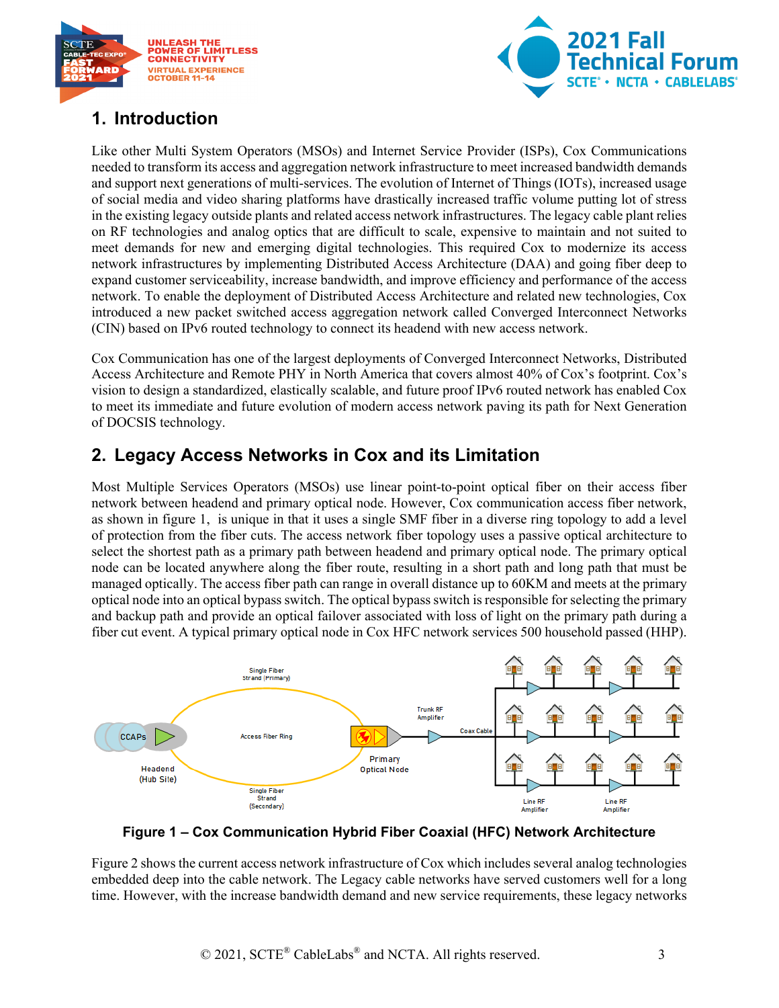



## <span id="page-2-0"></span>**1. Introduction**

Like other Multi System Operators (MSOs) and Internet Service Provider (ISPs), Cox Communications needed to transform its access and aggregation network infrastructure to meet increased bandwidth demands and support next generations of multi-services. The evolution of Internet of Things (IOTs), increased usage of social media and video sharing platforms have drastically increased traffic volume putting lot of stress in the existing legacy outside plants and related access network infrastructures. The legacy cable plant relies on RF technologies and analog optics that are difficult to scale, expensive to maintain and not suited to meet demands for new and emerging digital technologies. This required Cox to modernize its access network infrastructures by implementing Distributed Access Architecture (DAA) and going fiber deep to expand customer serviceability, increase bandwidth, and improve efficiency and performance of the access network. To enable the deployment of Distributed Access Architecture and related new technologies, Cox introduced a new packet switched access aggregation network called Converged Interconnect Networks (CIN) based on IPv6 routed technology to connect its headend with new access network.

Cox Communication has one of the largest deployments of Converged Interconnect Networks, Distributed Access Architecture and Remote PHY in North America that covers almost 40% of Cox's footprint. Cox's vision to design a standardized, elastically scalable, and future proof IPv6 routed network has enabled Cox to meet its immediate and future evolution of modern access network paving its path for Next Generation of DOCSIS technology.

## <span id="page-2-1"></span>**2. Legacy Access Networks in Cox and its Limitation**

Most Multiple Services Operators (MSOs) use linear point-to-point optical fiber on their access fiber network between headend and primary optical node. However, Cox communication access fiber network, as shown in figure 1, is unique in that it uses a single SMF fiber in a diverse ring topology to add a level of protection from the fiber cuts. The access network fiber topology uses a passive optical architecture to select the shortest path as a primary path between headend and primary optical node. The primary optical node can be located anywhere along the fiber route, resulting in a short path and long path that must be managed optically. The access fiber path can range in overall distance up to 60KM and meets at the primary optical node into an optical bypass switch. The optical bypass switch is responsible for selecting the primary and backup path and provide an optical failover associated with loss of light on the primary path during a fiber cut event. A typical primary optical node in Cox HFC network services 500 household passed (HHP).



<span id="page-2-2"></span>**Figure 1 – Cox Communication Hybrid Fiber Coaxial (HFC) Network Architecture**

Figure 2 shows the current access network infrastructure of Cox which includes several analog technologies embedded deep into the cable network. The Legacy cable networks have served customers well for a long time. However, with the increase bandwidth demand and new service requirements, these legacy networks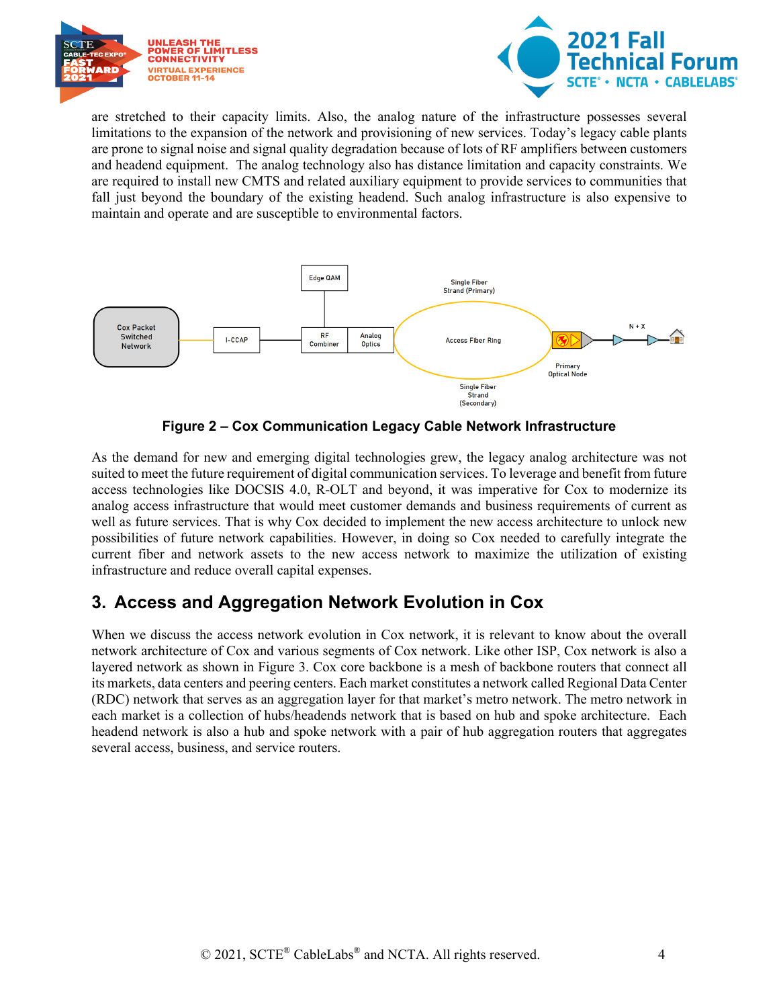



are stretched to their capacity limits. Also, the analog nature of the infrastructure possesses several limitations to the expansion of the network and provisioning of new services. Today's legacy cable plants are prone to signal noise and signal quality degradation because of lots of RF amplifiers between customers and headend equipment. The analog technology also has distance limitation and capacity constraints. We are required to install new CMTS and related auxiliary equipment to provide services to communities that fall just beyond the boundary of the existing headend. Such analog infrastructure is also expensive to maintain and operate and are susceptible to environmental factors.



**Figure 2 – Cox Communication Legacy Cable Network Infrastructure**

<span id="page-3-1"></span>As the demand for new and emerging digital technologies grew, the legacy analog architecture was not suited to meet the future requirement of digital communication services. To leverage and benefit from future access technologies like DOCSIS 4.0, R-OLT and beyond, it was imperative for Cox to modernize its analog access infrastructure that would meet customer demands and business requirements of current as well as future services. That is why Cox decided to implement the new access architecture to unlock new possibilities of future network capabilities. However, in doing so Cox needed to carefully integrate the current fiber and network assets to the new access network to maximize the utilization of existing infrastructure and reduce overall capital expenses.

## <span id="page-3-0"></span>**3. Access and Aggregation Network Evolution in Cox**

When we discuss the access network evolution in Cox network, it is relevant to know about the overall network architecture of Cox and various segments of Cox network. Like other ISP, Cox network is also a layered network as shown in Figure 3. Cox core backbone is a mesh of backbone routers that connect all its markets, data centers and peering centers. Each market constitutes a network called Regional Data Center (RDC) network that serves as an aggregation layer for that market's metro network. The metro network in each market is a collection of hubs/headends network that is based on hub and spoke architecture. Each headend network is also a hub and spoke network with a pair of hub aggregation routers that aggregates several access, business, and service routers.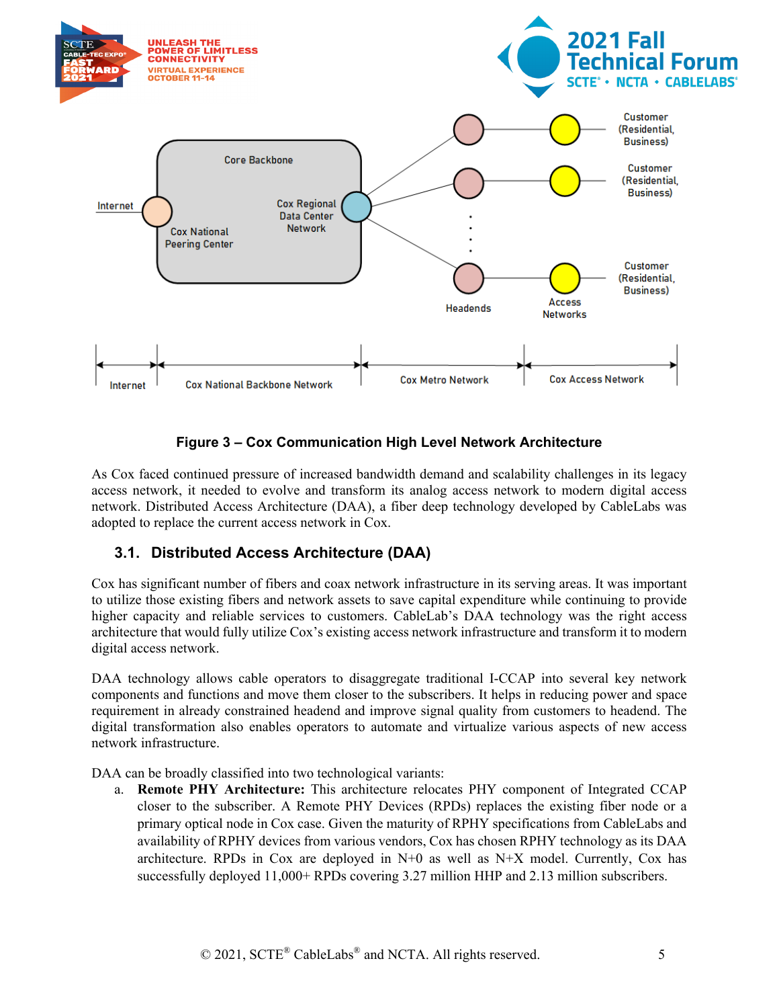

#### **Figure 3 – Cox Communication High Level Network Architecture**

<span id="page-4-1"></span>As Cox faced continued pressure of increased bandwidth demand and scalability challenges in its legacy access network, it needed to evolve and transform its analog access network to modern digital access network. Distributed Access Architecture (DAA), a fiber deep technology developed by CableLabs was adopted to replace the current access network in Cox.

### <span id="page-4-0"></span>**3.1. Distributed Access Architecture (DAA)**

Cox has significant number of fibers and coax network infrastructure in its serving areas. It was important to utilize those existing fibers and network assets to save capital expenditure while continuing to provide higher capacity and reliable services to customers. CableLab's DAA technology was the right access architecture that would fully utilize Cox's existing access network infrastructure and transform it to modern digital access network.

DAA technology allows cable operators to disaggregate traditional I-CCAP into several key network components and functions and move them closer to the subscribers. It helps in reducing power and space requirement in already constrained headend and improve signal quality from customers to headend. The digital transformation also enables operators to automate and virtualize various aspects of new access network infrastructure.

DAA can be broadly classified into two technological variants:

a. **Remote PHY Architecture:** This architecture relocates PHY component of Integrated CCAP closer to the subscriber. A Remote PHY Devices (RPDs) replaces the existing fiber node or a primary optical node in Cox case. Given the maturity of RPHY specifications from CableLabs and availability of RPHY devices from various vendors, Cox has chosen RPHY technology as its DAA architecture. RPDs in Cox are deployed in  $N+0$  as well as  $N+X$  model. Currently, Cox has successfully deployed 11,000+ RPDs covering 3.27 million HHP and 2.13 million subscribers.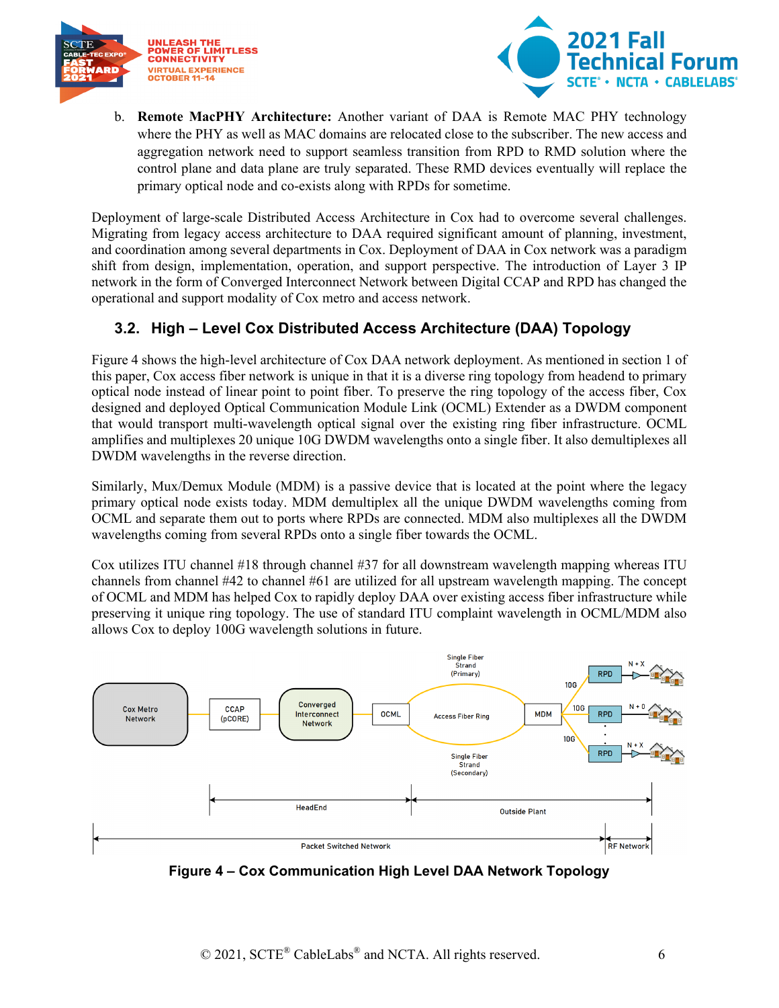



b. **Remote MacPHY Architecture:** Another variant of DAA is Remote MAC PHY technology where the PHY as well as MAC domains are relocated close to the subscriber. The new access and aggregation network need to support seamless transition from RPD to RMD solution where the control plane and data plane are truly separated. These RMD devices eventually will replace the primary optical node and co-exists along with RPDs for sometime.

Deployment of large-scale Distributed Access Architecture in Cox had to overcome several challenges. Migrating from legacy access architecture to DAA required significant amount of planning, investment, and coordination among several departments in Cox. Deployment of DAA in Cox network was a paradigm shift from design, implementation, operation, and support perspective. The introduction of Layer 3 IP network in the form of Converged Interconnect Network between Digital CCAP and RPD has changed the operational and support modality of Cox metro and access network.

## <span id="page-5-0"></span>**3.2. High – Level Cox Distributed Access Architecture (DAA) Topology**

Figure 4 shows the high-level architecture of Cox DAA network deployment. As mentioned in section 1 of this paper, Cox access fiber network is unique in that it is a diverse ring topology from headend to primary optical node instead of linear point to point fiber. To preserve the ring topology of the access fiber, Cox designed and deployed Optical Communication Module Link (OCML) Extender as a DWDM component that would transport multi-wavelength optical signal over the existing ring fiber infrastructure. OCML amplifies and multiplexes 20 unique 10G DWDM wavelengths onto a single fiber. It also demultiplexes all DWDM wavelengths in the reverse direction.

Similarly, Mux/Demux Module (MDM) is a passive device that is located at the point where the legacy primary optical node exists today. MDM demultiplex all the unique DWDM wavelengths coming from OCML and separate them out to ports where RPDs are connected. MDM also multiplexes all the DWDM wavelengths coming from several RPDs onto a single fiber towards the OCML.

Cox utilizes ITU channel #18 through channel #37 for all downstream wavelength mapping whereas ITU channels from channel #42 to channel #61 are utilized for all upstream wavelength mapping. The concept of OCML and MDM has helped Cox to rapidly deploy DAA over existing access fiber infrastructure while preserving it unique ring topology. The use of standard ITU complaint wavelength in OCML/MDM also allows Cox to deploy 100G wavelength solutions in future.



<span id="page-5-1"></span>**Figure 4 – Cox Communication High Level DAA Network Topology**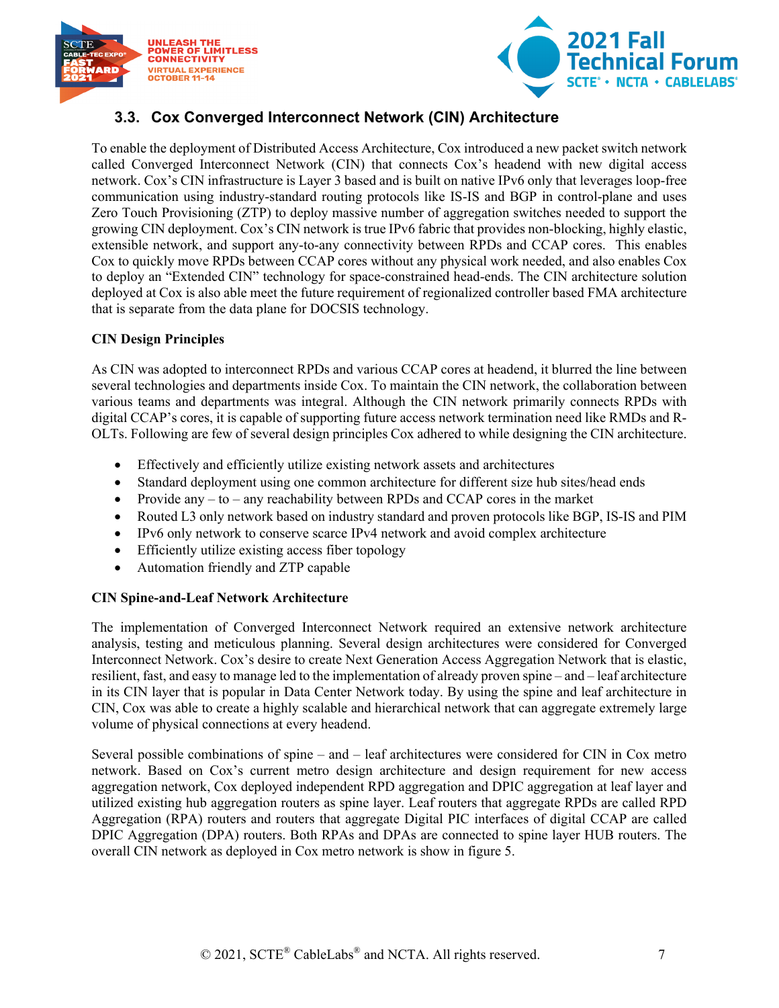



## <span id="page-6-0"></span>**3.3. Cox Converged Interconnect Network (CIN) Architecture**

To enable the deployment of Distributed Access Architecture, Cox introduced a new packet switch network called Converged Interconnect Network (CIN) that connects Cox's headend with new digital access network. Cox's CIN infrastructure is Layer 3 based and is built on native IPv6 only that leverages loop-free communication using industry-standard routing protocols like IS-IS and BGP in control-plane and uses Zero Touch Provisioning (ZTP) to deploy massive number of aggregation switches needed to support the growing CIN deployment. Cox's CIN network is true IPv6 fabric that provides non-blocking, highly elastic, extensible network, and support any-to-any connectivity between RPDs and CCAP cores. This enables Cox to quickly move RPDs between CCAP cores without any physical work needed, and also enables Cox to deploy an "Extended CIN" technology for space-constrained head-ends. The CIN architecture solution deployed at Cox is also able meet the future requirement of regionalized controller based FMA architecture that is separate from the data plane for DOCSIS technology.

#### **CIN Design Principles**

As CIN was adopted to interconnect RPDs and various CCAP cores at headend, it blurred the line between several technologies and departments inside Cox. To maintain the CIN network, the collaboration between various teams and departments was integral. Although the CIN network primarily connects RPDs with digital CCAP's cores, it is capable of supporting future access network termination need like RMDs and R-OLTs. Following are few of several design principles Cox adhered to while designing the CIN architecture.

- Effectively and efficiently utilize existing network assets and architectures
- Standard deployment using one common architecture for different size hub sites/head ends
- Provide any  $-$  to  $-$  any reachability between RPDs and CCAP cores in the market
- Routed L3 only network based on industry standard and proven protocols like BGP, IS-IS and PIM
- IPv6 only network to conserve scarce IPv4 network and avoid complex architecture
- Efficiently utilize existing access fiber topology
- Automation friendly and ZTP capable

#### **CIN Spine-and-Leaf Network Architecture**

The implementation of Converged Interconnect Network required an extensive network architecture analysis, testing and meticulous planning. Several design architectures were considered for Converged Interconnect Network. Cox's desire to create Next Generation Access Aggregation Network that is elastic, resilient, fast, and easy to manage led to the implementation of already proven spine – and – leaf architecture in its CIN layer that is popular in Data Center Network today. By using the spine and leaf architecture in CIN, Cox was able to create a highly scalable and hierarchical network that can aggregate extremely large volume of physical connections at every headend.

Several possible combinations of spine – and – leaf architectures were considered for CIN in Cox metro network. Based on Cox's current metro design architecture and design requirement for new access aggregation network, Cox deployed independent RPD aggregation and DPIC aggregation at leaf layer and utilized existing hub aggregation routers as spine layer. Leaf routers that aggregate RPDs are called RPD Aggregation (RPA) routers and routers that aggregate Digital PIC interfaces of digital CCAP are called DPIC Aggregation (DPA) routers. Both RPAs and DPAs are connected to spine layer HUB routers. The overall CIN network as deployed in Cox metro network is show in figure 5.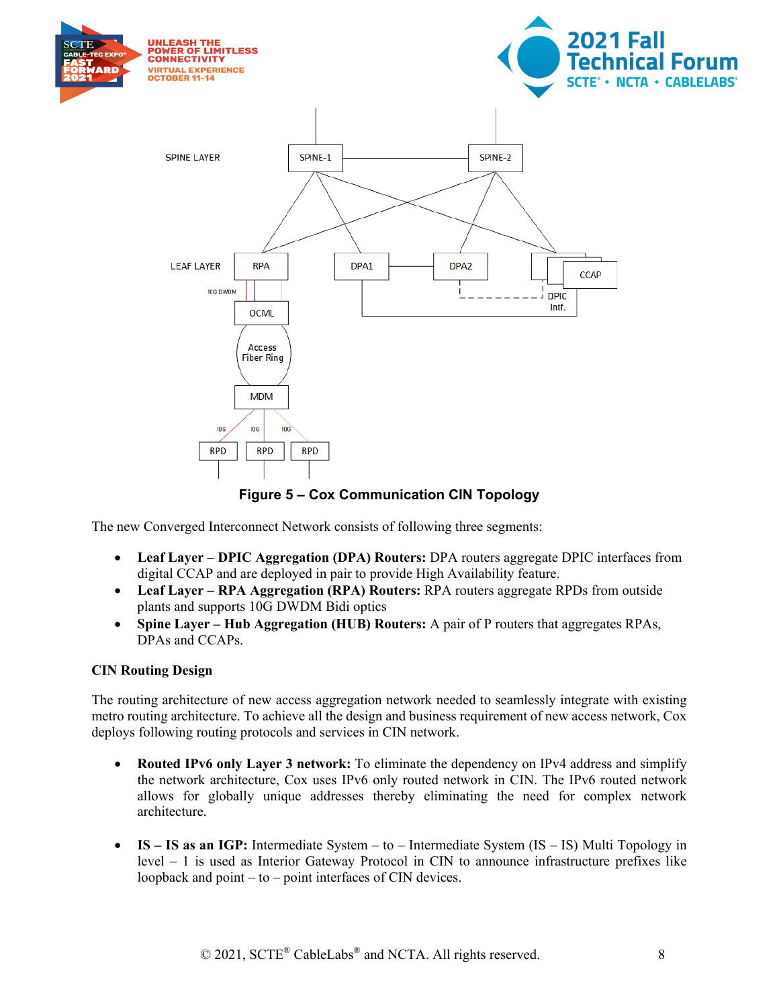



<span id="page-7-0"></span>The new Converged Interconnect Network consists of following three segments:

- **Leaf Layer – DPIC Aggregation (DPA) Routers:** DPA routers aggregate DPIC interfaces from digital CCAP and are deployed in pair to provide High Availability feature.
- **Leaf Layer – RPA Aggregation (RPA) Routers:** RPA routers aggregate RPDs from outside plants and supports 10G DWDM Bidi optics
- **Spine Layer – Hub Aggregation (HUB) Routers:** A pair of P routers that aggregates RPAs, DPAs and CCAPs.

#### **CIN Routing Design**

The routing architecture of new access aggregation network needed to seamlessly integrate with existing metro routing architecture. To achieve all the design and business requirement of new access network, Cox deploys following routing protocols and services in CIN network.

- **Routed IPv6 only Layer 3 network:** To eliminate the dependency on IPv4 address and simplify the network architecture, Cox uses IPv6 only routed network in CIN. The IPv6 routed network allows for globally unique addresses thereby eliminating the need for complex network architecture.
- **IS – IS as an IGP:** Intermediate System to Intermediate System (IS IS) Multi Topology in level – 1 is used as Interior Gateway Protocol in CIN to announce infrastructure prefixes like loopback and point – to – point interfaces of CIN devices.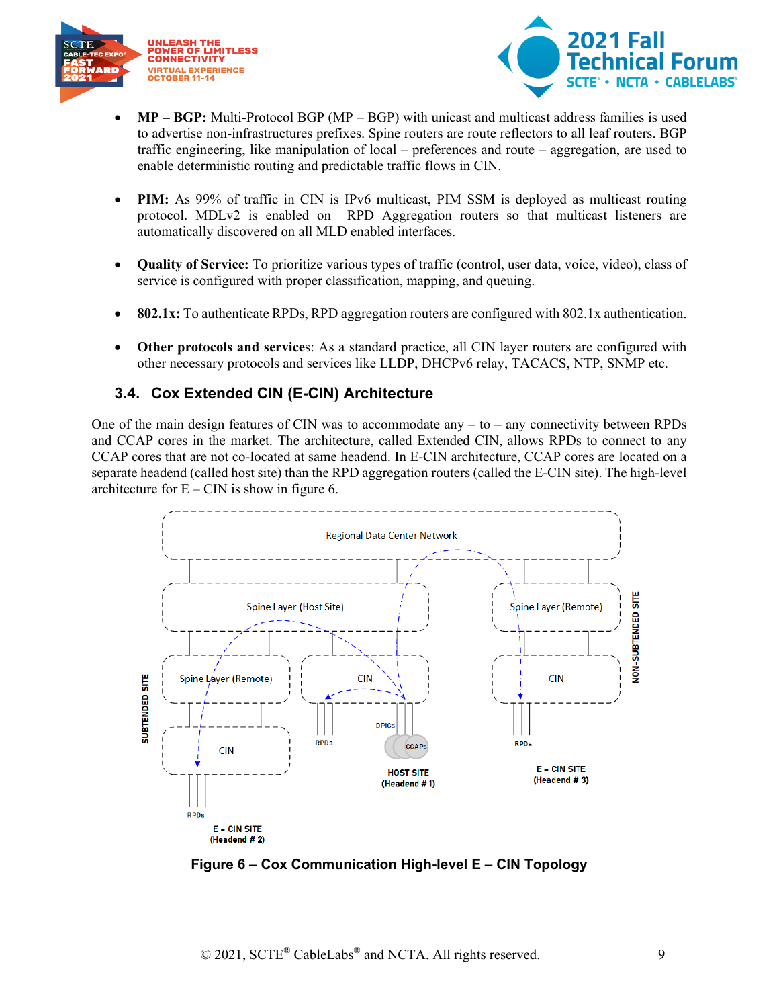



- **MP – BGP:** Multi-Protocol BGP (MP BGP) with unicast and multicast address families is used to advertise non-infrastructures prefixes. Spine routers are route reflectors to all leaf routers. BGP traffic engineering, like manipulation of local – preferences and route – aggregation, are used to enable deterministic routing and predictable traffic flows in CIN.
- **PIM:** As 99% of traffic in CIN is IPv6 multicast, PIM SSM is deployed as multicast routing protocol. MDLv2 is enabled on RPD Aggregation routers so that multicast listeners are automatically discovered on all MLD enabled interfaces.
- **Quality of Service:** To prioritize various types of traffic (control, user data, voice, video), class of service is configured with proper classification, mapping, and queuing.
- **802.1x:** To authenticate RPDs, RPD aggregation routers are configured with 802.1x authentication.
- **Other protocols and service**s: As a standard practice, all CIN layer routers are configured with other necessary protocols and services like LLDP, DHCPv6 relay, TACACS, NTP, SNMP etc.

### <span id="page-8-0"></span>**3.4. Cox Extended CIN (E-CIN) Architecture**

One of the main design features of CIN was to accommodate any  $-$  to  $-$  any connectivity between RPDs and CCAP cores in the market. The architecture, called Extended CIN, allows RPDs to connect to any CCAP cores that are not co-located at same headend. In E-CIN architecture, CCAP cores are located on a separate headend (called host site) than the RPD aggregation routers (called the E-CIN site). The high-level architecture for  $E - CIN$  is show in figure 6.



<span id="page-8-1"></span>**Figure 6 – Cox Communication High-level E – CIN Topology**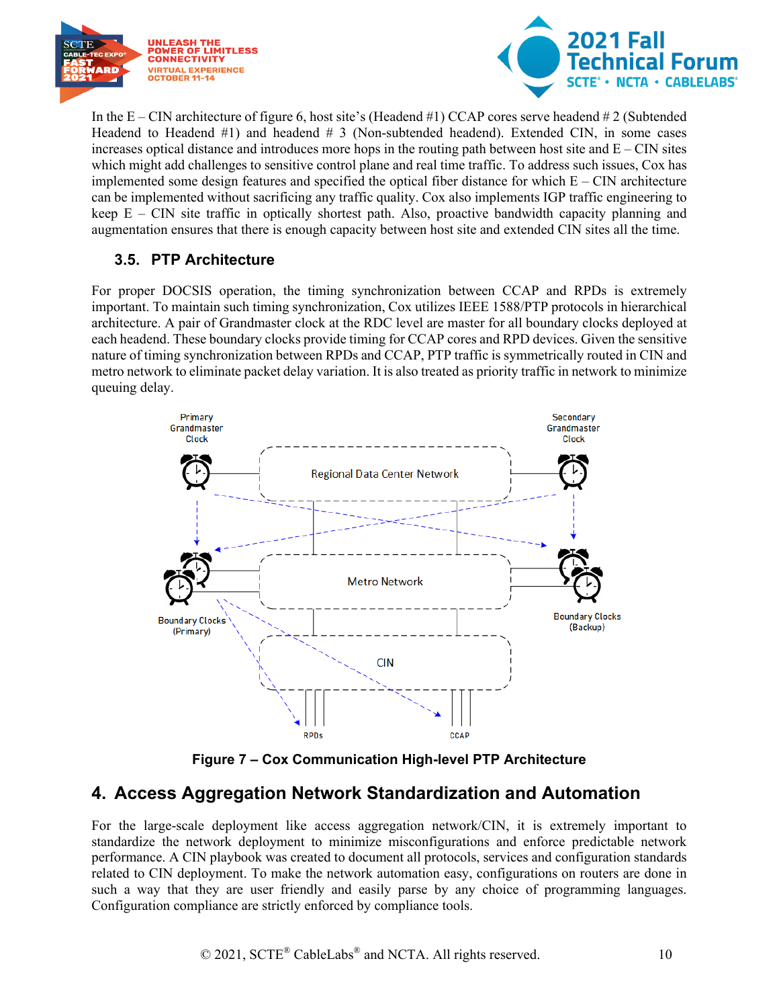



In the E – CIN architecture of figure 6, host site's (Headend #1) CCAP cores serve headend # 2 (Subtended Headend to Headend #1) and headend # 3 (Non-subtended headend). Extended CIN, in some cases increases optical distance and introduces more hops in the routing path between host site and  $E - CIN$  sites which might add challenges to sensitive control plane and real time traffic. To address such issues, Cox has implemented some design features and specified the optical fiber distance for which  $E - CIN$  architecture can be implemented without sacrificing any traffic quality. Cox also implements IGP traffic engineering to keep  $E - CIN$  site traffic in optically shortest path. Also, proactive bandwidth capacity planning and augmentation ensures that there is enough capacity between host site and extended CIN sites all the time.

## <span id="page-9-0"></span>**3.5. PTP Architecture**

For proper DOCSIS operation, the timing synchronization between CCAP and RPDs is extremely important. To maintain such timing synchronization, Cox utilizes IEEE 1588/PTP protocols in hierarchical architecture. A pair of Grandmaster clock at the RDC level are master for all boundary clocks deployed at each headend. These boundary clocks provide timing for CCAP cores and RPD devices. Given the sensitive nature of timing synchronization between RPDs and CCAP, PTP traffic is symmetrically routed in CIN and metro network to eliminate packet delay variation. It is also treated as priority traffic in network to minimize queuing delay.



**Figure 7 – Cox Communication High-level PTP Architecture**

## <span id="page-9-2"></span><span id="page-9-1"></span>**4. Access Aggregation Network Standardization and Automation**

For the large-scale deployment like access aggregation network/CIN, it is extremely important to standardize the network deployment to minimize misconfigurations and enforce predictable network performance. A CIN playbook was created to document all protocols, services and configuration standards related to CIN deployment. To make the network automation easy, configurations on routers are done in such a way that they are user friendly and easily parse by any choice of programming languages. Configuration compliance are strictly enforced by compliance tools.